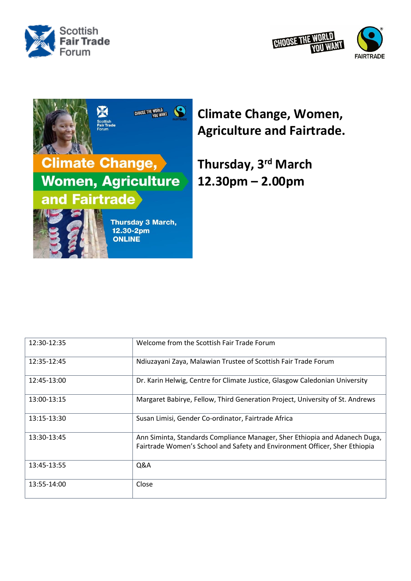





## **Climate Change, Women, Agriculture and Fairtrade.**

**Thursday, 3 rd March 12.30pm – 2.00pm**

| 12:30-12:35 | Welcome from the Scottish Fair Trade Forum                                                                                                               |
|-------------|----------------------------------------------------------------------------------------------------------------------------------------------------------|
| 12:35-12:45 | Ndiuzayani Zaya, Malawian Trustee of Scottish Fair Trade Forum                                                                                           |
| 12:45-13:00 | Dr. Karin Helwig, Centre for Climate Justice, Glasgow Caledonian University                                                                              |
| 13:00-13:15 | Margaret Babirye, Fellow, Third Generation Project, University of St. Andrews                                                                            |
| 13:15-13:30 | Susan Limisi, Gender Co-ordinator, Fairtrade Africa                                                                                                      |
| 13:30-13:45 | Ann Siminta, Standards Compliance Manager, Sher Ethiopia and Adanech Duga,<br>Fairtrade Women's School and Safety and Environment Officer, Sher Ethiopia |
| 13:45-13:55 | Q&A                                                                                                                                                      |
| 13:55-14:00 | Close                                                                                                                                                    |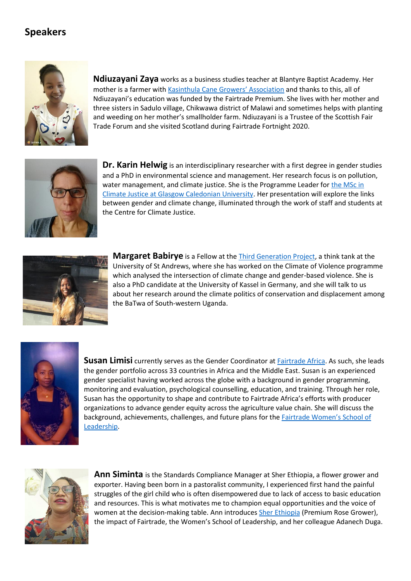## **Speakers**



**Ndiuzayani Zaya** works as a business studies teacher at Blantyre Baptist Academy. Her mother is a farmer with [Kasinthula Cane Growers' Association](https://www.fairtrade.org.uk/farmers-and-workers/sugar/kasinthula-cane-growers-association-malawi/) and thanks to this, all of Ndiuzayani's education was funded by the Fairtrade Premium. She lives with her mother and three sisters in Sadulo village, Chikwawa district of Malawi and sometimes helps with planting and weeding on her mother's smallholder farm. Ndiuzayani is a Trustee of the Scottish Fair Trade Forum and she visited Scotland during Fairtrade Fortnight 2020.



**Dr. Karin Helwig** is an interdisciplinary researcher with a first degree in gender studies and a PhD in environmental science and management. Her research focus is on pollution, water management, and climate justice. She is the Programme Leader for the MSc in [Climate Justice at Glasgow Caledonian University.](https://www.gcu.ac.uk/study/courses/details/index.php/P02846/Climate_Justice/) Her presentation will explore the links between gender and climate change, illuminated through the work of staff and students at the Centre for Climate Justice.



**Margaret Babirye** is a Fellow at the **Third Generation Project**, a think tank at the University of St Andrews, where she has worked on the Climate of Violence programme which analysed the intersection of climate change and gender-based violence. She is also a PhD candidate at the University of Kassel in Germany, and she will talk to us about her research around the climate politics of conservation and displacement among the BaTwa of South-western Uganda.



**Susan Limisi** currently serves as the Gender Coordinator a[t Fairtrade Africa.](https://fairtradeafrica.net/) As such, she leads the gender portfolio across 33 countries in Africa and the Middle East. Susan is an experienced gender specialist having worked across the globe with a background in gender programming, monitoring and evaluation, psychological counselling, education, and training. Through her role, Susan has the opportunity to shape and contribute to Fairtrade Africa's efforts with producer organizations to advance gender equity across the agriculture value chain. She will discuss the background, achievements, challenges, and future plans for the **[Fairtrade Women's](https://fairtradeafrica.net/womens-school-of-leadership/) School of** [Leadership.](https://fairtradeafrica.net/womens-school-of-leadership/)



**Ann Siminta** is the Standards Compliance Manager at Sher Ethiopia, a flower grower and exporter. Having been born in a pastoralist community, I experienced first hand the painful struggles of the girl child who is often disempowered due to lack of access to basic education and resources. This is what motivates me to champion equal opportunities and the voice of women at the decision-making table. Ann introduces Sher [Ethiopia](https://sherethiopia.com/?gclid=CjwKCAiAgvKQBhBbEiwAaPQw3O0bDjroOtVhBkD_A7AG4e4IaEgfGYPJyzdH3iDDvTazu7f_Xp5KSxoCtgoQAvD_BwE) (Premium Rose Grower), the impact of Fairtrade, the Women's School of Leadership, and her colleague Adanech Duga.